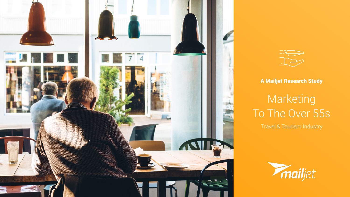



## A Mailjet Research Study

# Marketing To The Over 55s

Travel & Tourism Industry



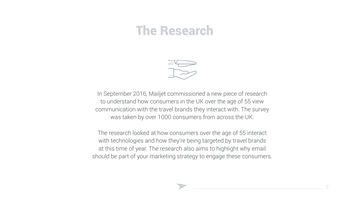

# The Research

In September 2016, Mailjet commissioned a new piece of research to understand how consumers in the UK over the age of 55 view communication with the travel brands they interact with. The survey was taken by over 1000 consumers from across the UK.

The research looked at how consumers over the age of 55 interact with technologies and how they're being targeted by travel brands at this time of year. The research also aims to highlight why email should be part of your marketing strategy to engage these consumers.



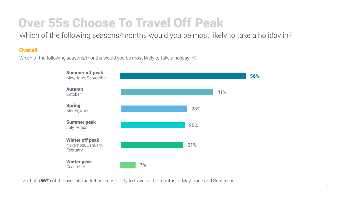# Over 55s Choose To Travel Off Peak

Which of the following seasons/months would you be most likely to take a holiday in?

## **Overall**



Which of the following seasons/months would you be most likely to take a holiday in?

| <b>Summer off peak</b><br>May, June, September           |    |     |     | 56% |
|----------------------------------------------------------|----|-----|-----|-----|
| <b>Autumn</b><br>October                                 |    |     | 41% |     |
| <b>Spring</b><br>March, April                            |    | 28% |     |     |
| <b>Summer peak</b><br>July, August                       |    | 25% |     |     |
| <b>Winter off peak</b><br>November, January,<br>February |    | 21% |     |     |
| <b>Winter peak</b><br>December                           | 7% |     |     |     |

Over half (56%) of the over 55 market are most likely to travel in the months of May, June and September.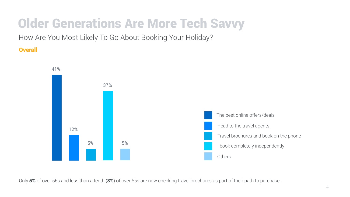# Older Generations Are More Tech Savvy

How Are You Most Likely To Go About Booking Your Holiday?

**Overall** 



Only 5% of over 55s and less than a tenth (8%) of over 65s are now checking travel brochures as part of their path to purchase.

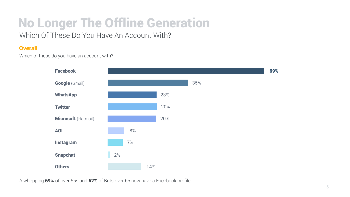## No Longer The Offline Generation Which Of These Do You Have An Account With?

## **Overall**

Which of these do you have an account with?





A whopping 69% of over 55s and 62% of Brits over 65 now have a Facebook profile.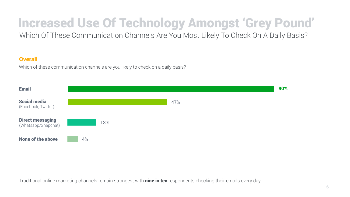# Increased Use Of Technology Amongst 'Grey Pound'

Which Of These Communication Channels Are You Most Likely To Check On A Daily Basis?

## **Overall**



Which of these communication channels are you likely to check on a daily basis?

47%



Traditional online marketing channels remain strongest with nine in ten respondents checking their emails every day.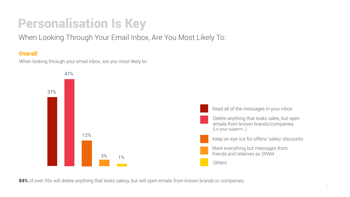# Personalisation Is Key

When Looking Through Your Email Inbox, Are You Most Likely To:

## **Overall**

When looking through your email inbox, are you most likely to:



84% of over 55s will delete anything that looks salesy, but will open emails from known brands or companies.

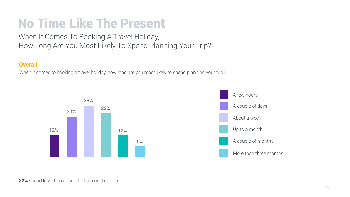# No Time Like The Present

When It Comes To Booking A Travel Holiday, How Long Are You Most Likely To Spend Planning Your Trip?

## **Overall**



When it comes to booking a travel holiday, how long are you most likely to spend planning your trip?





82% spend less than a month planning their trip.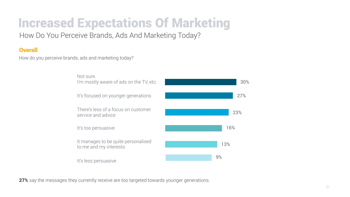# Increased Expectations Of Marketing

How Do You Perceive Brands, Ads And Marketing Today?

## **Overall**



How do you perceive brands, ads and marketing today?

It manages to be quite personalised to me and my interests 13%

It's less persuasive

**27%** say the messages they currently receive are too targeted towards younger generations.



Not sure. I'm mostly aware of ads on the TV, etc.

It's focused on younger generations



There's less of a focus on customer service and advice

It's too persuasive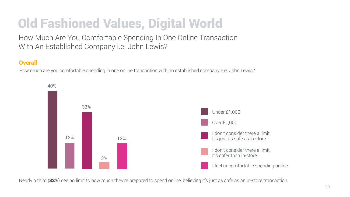# Old Fashioned Values, Digital World

How Much Are You Comfortable Spending In One Online Transaction With An Established Company i.e. John Lewis?

## **Overall**

How much are you comfortable spending in one online transaction with an established company e.e. John Lewis?

40%

Nearly a third (32%) see no limit to how much they're prepared to spend online, believing it's just as safe as an in-store transaction.



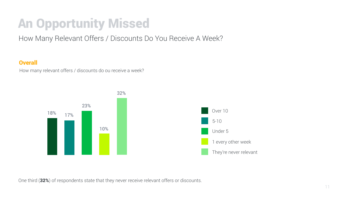# An Opportunity Missed

How Many Relevant Offers / Discounts Do You Receive A Week?

## **Overall**

How many relevant offers / discounts do ou receive a week?



One third (32%) of respondents state that they never receive relevant offers or discounts.

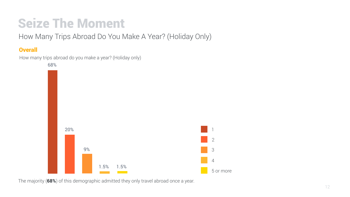# Seize The Moment

How Many Trips Abroad Do You Make A Year? (Holiday Only)

## **Overall**



How many trips abroad do you make a year? (Holiday only)





The majority (68%) of this demographic admitted they only travel abroad once a year.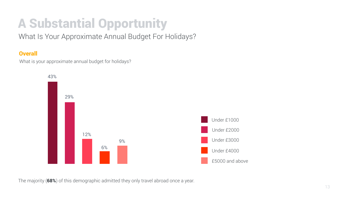# A Substantial Opportunity

What Is Your Approximate Annual Budget For Holidays?

## **Overall**



What is your approximate annual budget for holidays?





The majority (68%) of this demographic admitted they only travel abroad once a year.

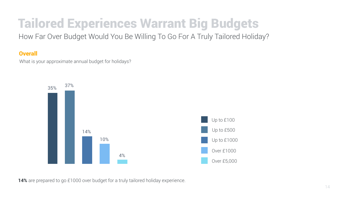# Tailored Experiences Warrant Big Budgets

How Far Over Budget Would You Be Willing To Go For A Truly Tailored Holiday?

## **Overall**

What is your approximate annual budget for holidays?





14% are prepared to go £1000 over budget for a truly tailored holiday experience.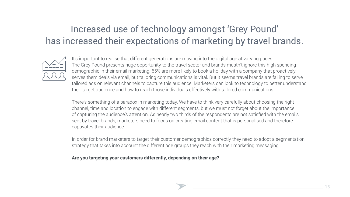## Increased use of technology amongst 'Grey Pound' has increased their expectations of marketing by travel brands.



It's important to realise that different generations are moving into the digital age at varying paces. The Grey Pound presents huge opportunity to the travel sector and brands mustn't ignore this high spending demographic in their email marketing. 65% are more likely to book a holiday with a company that proactively serves them deals via email, but tailoring communications is vital. But it seems travel brands are failing to serve tailored ads on relevant channels to capture this audience. Marketers can look to technology to better understand their target audience and how to reach those individuals effectively with tailored communications.

There's something of a paradox in marketing today. We have to think very carefully about choosing the right channel, time and location to engage with different segments, but we must not forget about the importance of capturing the audience's attention. As nearly two thirds of the respondents are not satisfied with the emails sent by travel brands, marketers need to focus on creating email content that is personalised and therefore captivates their audience.

In order for brand marketers to target their customer demographics correctly they need to adopt a segmentation strategy that takes into account the different age groups they reach with their marketing messaging.

### **Are you targeting your customers differently, depending on their age?**



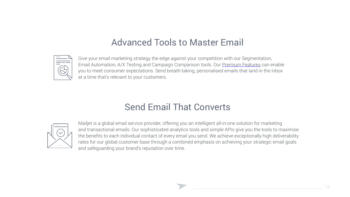## Advanced Tools to Master Email



Give your email marketing strategy the edge against your competition with our Segmentation, Email Automation, A/X Testing and Campaign Comparison tools. Our [Premium Features](https://uk.mailjet.com/premium-features) can enable you to meet consumer expectations. Send breath-taking, personalised emails that land in the inbox at a time that's relevant to your customers.



## Send Email That Converts



Mailjet is a global email service provider, offering you an intelligent all-in-one solution for marketing and transactional emails. Our sophisticated analytics tools and simple APIs give you the tools to maximise the benefits to each individual contact of every email you send. We achieve exceptionally high deliverability rates for our global customer base through a combined emphasis on achieving your strategic email goals and safeguarding your brand's reputation over time.